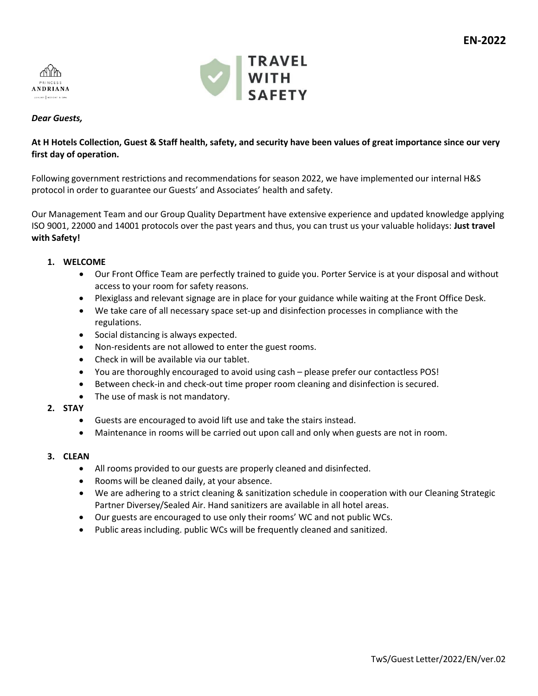



## *Dear Guests,*

# **At H Hotels Collection, Guest & Staff health, safety, and security have been values of great importance since our very first day of operation.**

Following government restrictions and recommendations for season 2022, we have implemented our internal H&S protocol in order to guarantee our Guests' and Associates' health and safety.

Our Management Team and our Group Quality Department have extensive experience and updated knowledge applying ISO 9001, 22000 and 14001 protocols over the past years and thus, you can trust us your valuable holidays: **Just travel with Safety!**

## **1. WELCOME**

- Our Front Office Team are perfectly trained to guide you. Porter Service is at your disposal and without access to your room for safety reasons.
- Plexiglass and relevant signage are in place for your guidance while waiting at the Front Office Desk.
- We take care of all necessary space set-up and disinfection processes in compliance with the regulations.
- Social distancing is always expected.
- Non-residents are not allowed to enter the guest rooms.
- Check in will be available via our tablet.
- You are thoroughly encouraged to avoid using cash please prefer our contactless POS!
- Between check-in and check-out time proper room cleaning and disinfection is secured.
- The use of mask is not mandatory.
- **2. STAY**
	- Guests are encouraged to avoid lift use and take the stairs instead.
	- Maintenance in rooms will be carried out upon call and only when guests are not in room.
- **3. CLEAN**
	- All rooms provided to our guests are properly cleaned and disinfected.
	- Rooms will be cleaned daily, at your absence.
	- We are adhering to a strict cleaning & sanitization schedule in cooperation with our Cleaning Strategic Partner Diversey/Sealed Air. Hand sanitizers are available in all hotel areas.
	- Our guests are encouraged to use only their rooms' WC and not public WCs.
	- Public areas including. public WCs will be frequently cleaned and sanitized.